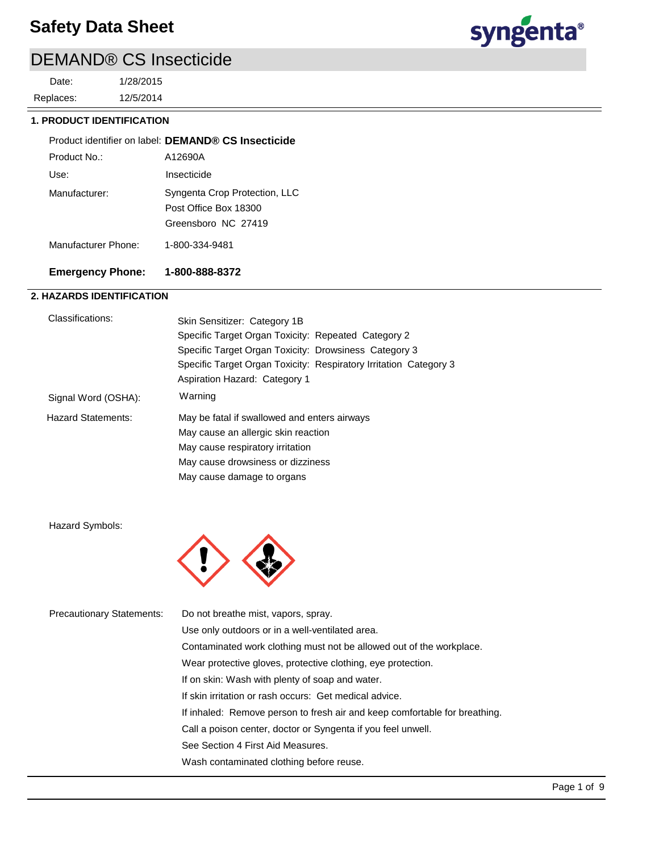# DEMAND® CS Insecticide

12/5/2014 1/28/2015 Replaces: Date:



## **1. PRODUCT IDENTIFICATION**

|              | Product identifier on label: DEMAND® CS Insecticide |
|--------------|-----------------------------------------------------|
| Product No.: | A12690A                                             |
| Use:         | Insecticide                                         |

| Manufacturer: | Syngenta Crop Protection, LLC |
|---------------|-------------------------------|
|               | Post Office Box 18300         |
|               | Greensboro NC 27419           |

Manufacturer Phone: 1-800-334-9481

## **Emergency Phone: 1-800-888-8372**

## **2. HAZARDS IDENTIFICATION**

| Classifications:          | Skin Sensitizer: Category 1B                                      |  |
|---------------------------|-------------------------------------------------------------------|--|
|                           | Specific Target Organ Toxicity: Repeated Category 2               |  |
|                           | Specific Target Organ Toxicity: Drowsiness Category 3             |  |
|                           | Specific Target Organ Toxicity: Respiratory Irritation Category 3 |  |
|                           | Aspiration Hazard: Category 1                                     |  |
| Signal Word (OSHA):       | Warning                                                           |  |
| <b>Hazard Statements:</b> | May be fatal if swallowed and enters airways                      |  |
|                           | May cause an allergic skin reaction                               |  |
|                           | May cause respiratory irritation                                  |  |
|                           | May cause drowsiness or dizziness                                 |  |
|                           | May cause damage to organs                                        |  |

Hazard Symbols:



| <b>Precautionary Statements:</b> | Do not breathe mist, vapors, spray.                                        |
|----------------------------------|----------------------------------------------------------------------------|
|                                  | Use only outdoors or in a well-ventilated area.                            |
|                                  | Contaminated work clothing must not be allowed out of the workplace.       |
|                                  | Wear protective gloves, protective clothing, eye protection.               |
|                                  | If on skin: Wash with plenty of soap and water.                            |
|                                  | If skin irritation or rash occurs: Get medical advice.                     |
|                                  | If inhaled: Remove person to fresh air and keep comfortable for breathing. |
|                                  | Call a poison center, doctor or Syngenta if you feel unwell.               |
|                                  | See Section 4 First Aid Measures.                                          |
|                                  | Wash contaminated clothing before reuse.                                   |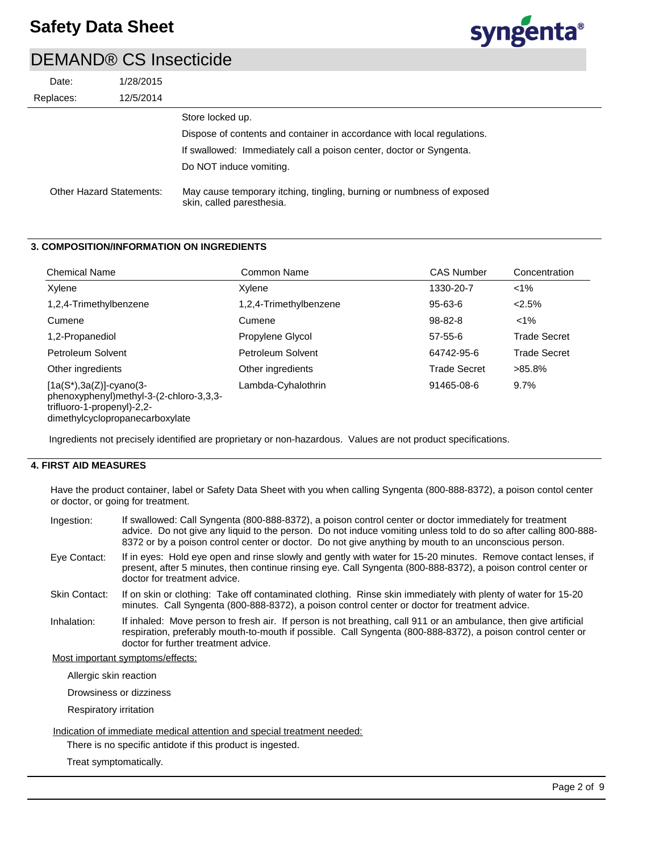

| Date:                    | 1/28/2015 |                                                                                                    |
|--------------------------|-----------|----------------------------------------------------------------------------------------------------|
| Replaces:                | 12/5/2014 |                                                                                                    |
|                          |           | Store locked up.                                                                                   |
|                          |           | Dispose of contents and container in accordance with local regulations.                            |
|                          |           | If swallowed: Immediately call a poison center, doctor or Syngenta.                                |
|                          |           | Do NOT induce vomiting.                                                                            |
| Other Hazard Statements: |           | May cause temporary itching, tingling, burning or numbness of exposed<br>skin, called paresthesia. |

### **3. COMPOSITION/INFORMATION ON INGREDIENTS**

| <b>Chemical Name</b>                                                                                                                    | Common Name            | <b>CAS Number</b>   | Concentration       |
|-----------------------------------------------------------------------------------------------------------------------------------------|------------------------|---------------------|---------------------|
| Xylene                                                                                                                                  | Xvlene                 | 1330-20-7           | $1\%$               |
| 1,2,4-Trimethylbenzene                                                                                                                  | 1,2,4-Trimethylbenzene | $95 - 63 - 6$       | 2.5%                |
| Cumene                                                                                                                                  | Cumene                 | $98 - 82 - 8$       | $1\%$               |
| 1,2-Propanediol                                                                                                                         | Propylene Glycol       | $57 - 55 - 6$       | <b>Trade Secret</b> |
| Petroleum Solvent                                                                                                                       | Petroleum Solvent      | 64742-95-6          | <b>Trade Secret</b> |
| Other ingredients                                                                                                                       | Other ingredients      | <b>Trade Secret</b> | $>85.8\%$           |
| $[1a(S*), 3a(Z)]$ -cyano(3-<br>phenoxyphenyl)methyl-3-(2-chloro-3,3,3-<br>trifluoro-1-propenyl)-2,2-<br>dimethylcyclopropanecarboxylate | Lambda-Cyhalothrin     | 91465-08-6          | 9.7%                |

Ingredients not precisely identified are proprietary or non-hazardous. Values are not product specifications.

## **4. FIRST AID MEASURES**

Have the product container, label or Safety Data Sheet with you when calling Syngenta (800-888-8372), a poison contol center or doctor, or going for treatment.

| Ingestion:   | If swallowed: Call Syngenta (800-888-8372), a poison control center or doctor immediately for treatment<br>advice. Do not give any liquid to the person. Do not induce vomiting unless told to do so after calling 800-888-<br>8372 or by a poison control center or doctor. Do not give anything by mouth to an unconscious person. |
|--------------|--------------------------------------------------------------------------------------------------------------------------------------------------------------------------------------------------------------------------------------------------------------------------------------------------------------------------------------|
| Eye Contact: | If in eyes: Hold eye open and rinse slowly and gently with water for 15-20 minutes. Remove contact lenses, if<br>present, after 5 minutes, then continue rinsing eye. Call Syngenta (800-888-8372), a poison control center or<br>doctor for treatment advice.                                                                       |

- If on skin or clothing: Take off contaminated clothing. Rinse skin immediately with plenty of water for 15-20 minutes. Call Syngenta (800-888-8372), a poison control center or doctor for treatment advice. Skin Contact:
- If inhaled: Move person to fresh air. If person is not breathing, call 911 or an ambulance, then give artificial respiration, preferably mouth-to-mouth if possible. Call Syngenta (800-888-8372), a poison control center or doctor for further treatment advice. Inhalation:

#### Most important symptoms/effects:

Allergic skin reaction

Drowsiness or dizziness

Respiratory irritation

#### Indication of immediate medical attention and special treatment needed:

There is no specific antidote if this product is ingested.

Treat symptomatically.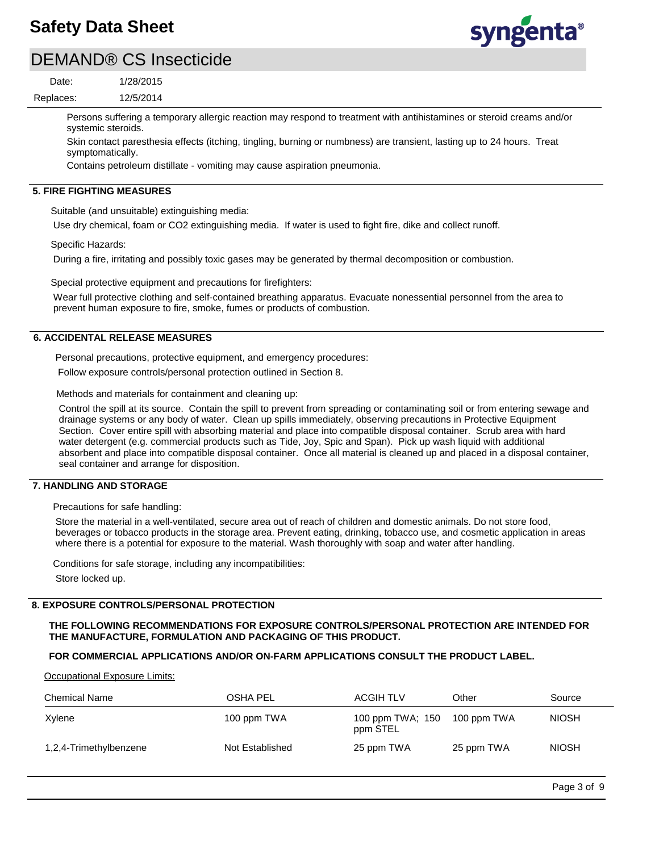

## DEMAND® CS Insecticide

12/5/2014 1/28/2015 Replaces: Date:

> Persons suffering a temporary allergic reaction may respond to treatment with antihistamines or steroid creams and/or systemic steroids.

Skin contact paresthesia effects (itching, tingling, burning or numbness) are transient, lasting up to 24 hours. Treat symptomatically.

Contains petroleum distillate - vomiting may cause aspiration pneumonia.

#### **5. FIRE FIGHTING MEASURES**

Suitable (and unsuitable) extinguishing media:

Use dry chemical, foam or CO2 extinguishing media. If water is used to fight fire, dike and collect runoff.

Specific Hazards:

During a fire, irritating and possibly toxic gases may be generated by thermal decomposition or combustion.

Special protective equipment and precautions for firefighters:

Wear full protective clothing and self-contained breathing apparatus. Evacuate nonessential personnel from the area to prevent human exposure to fire, smoke, fumes or products of combustion.

#### **6. ACCIDENTAL RELEASE MEASURES**

Personal precautions, protective equipment, and emergency procedures:

Follow exposure controls/personal protection outlined in Section 8.

Methods and materials for containment and cleaning up:

Control the spill at its source. Contain the spill to prevent from spreading or contaminating soil or from entering sewage and drainage systems or any body of water. Clean up spills immediately, observing precautions in Protective Equipment Section. Cover entire spill with absorbing material and place into compatible disposal container. Scrub area with hard water detergent (e.g. commercial products such as Tide, Joy, Spic and Span). Pick up wash liquid with additional absorbent and place into compatible disposal container. Once all material is cleaned up and placed in a disposal container, seal container and arrange for disposition.

#### **7. HANDLING AND STORAGE**

Precautions for safe handling:

Store the material in a well-ventilated, secure area out of reach of children and domestic animals. Do not store food, beverages or tobacco products in the storage area. Prevent eating, drinking, tobacco use, and cosmetic application in areas where there is a potential for exposure to the material. Wash thoroughly with soap and water after handling.

Conditions for safe storage, including any incompatibilities: Store locked up.

#### **8. EXPOSURE CONTROLS/PERSONAL PROTECTION**

## **THE FOLLOWING RECOMMENDATIONS FOR EXPOSURE CONTROLS/PERSONAL PROTECTION ARE INTENDED FOR THE MANUFACTURE, FORMULATION AND PACKAGING OF THIS PRODUCT.**

#### **FOR COMMERCIAL APPLICATIONS AND/OR ON-FARM APPLICATIONS CONSULT THE PRODUCT LABEL.**

Occupational Exposure Limits:

| <b>Chemical Name</b>   | OSHA PEL        | <b>ACGIH TLV</b>             | Other       | Source       |
|------------------------|-----------------|------------------------------|-------------|--------------|
| Xylene                 | 100 ppm TWA     | 100 ppm TWA; 150<br>ppm STEL | 100 ppm TWA | <b>NIOSH</b> |
| 1,2,4-Trimethylbenzene | Not Established | 25 ppm TWA                   | 25 ppm TWA  | <b>NIOSH</b> |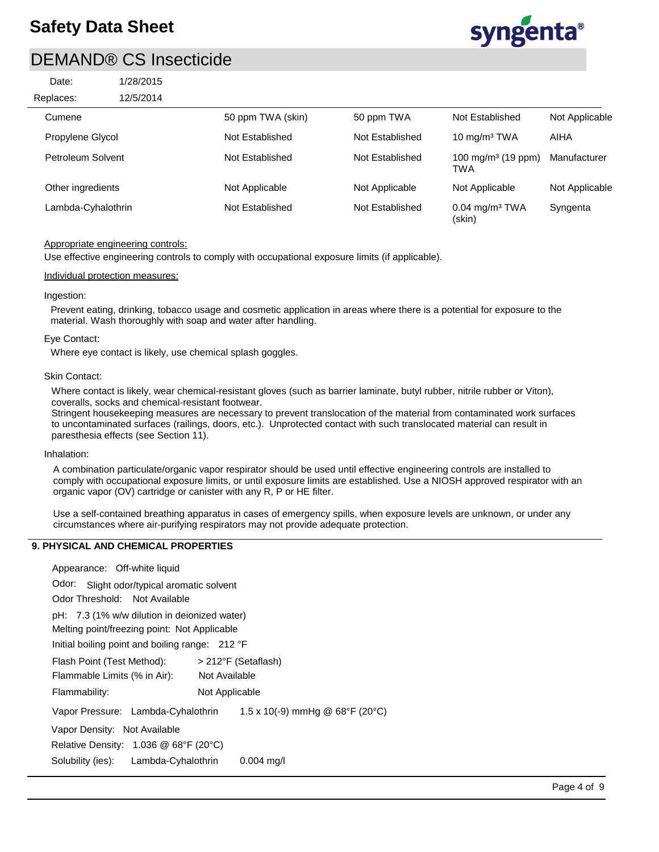| Date:     | 1/28/2015 |
|-----------|-----------|
| Replaces: | 12/5/2014 |
| Cumene    |           |



| keplaces:<br>12/5/2014 |                   |                 |                                        |                |
|------------------------|-------------------|-----------------|----------------------------------------|----------------|
| Cumene                 | 50 ppm TWA (skin) | 50 ppm TWA      | Not Established                        | Not Applicable |
| Propylene Glycol       | Not Established   | Not Established | 10 $mg/m3 TWA$                         | AIHA           |
| Petroleum Solvent      | Not Established   | Not Established | 100 mg/m <sup>3</sup> (19 ppm)<br>TWA  | Manufacturer   |
| Other ingredients      | Not Applicable    | Not Applicable  | Not Applicable                         | Not Applicable |
| Lambda-Cyhalothrin     | Not Established   | Not Established | $0.04$ mg/m <sup>3</sup> TWA<br>(skin) | Syngenta       |

### Appropriate engineering controls:

Use effective engineering controls to comply with occupational exposure limits (if applicable).

#### Individual protection measures:

#### Ingestion:

Prevent eating, drinking, tobacco usage and cosmetic application in areas where there is a potential for exposure to the material. Wash thoroughly with soap and water after handling.

#### Eye Contact:

Where eye contact is likely, use chemical splash goggles.

#### Skin Contact:

Where contact is likely, wear chemical-resistant gloves (such as barrier laminate, butyl rubber, nitrile rubber or Viton), coveralls, socks and chemical-resistant footwear.

Stringent housekeeping measures are necessary to prevent translocation of the material from contaminated work surfaces to uncontaminated surfaces (railings, doors, etc.). Unprotected contact with such translocated material can result in paresthesia effects (see Section 11).

#### Inhalation:

A combination particulate/organic vapor respirator should be used until effective engineering controls are installed to comply with occupational exposure limits, or until exposure limits are established. Use a NIOSH approved respirator with an organic vapor (OV) cartridge or canister with any R, P or HE filter.

Use a self-contained breathing apparatus in cases of emergency spills, when exposure levels are unknown, or under any circumstances where air-purifying respirators may not provide adequate protection.

## **9. PHYSICAL AND CHEMICAL PROPERTIES**

| Appearance: Off-white liquid                    |                |                                                     |  |
|-------------------------------------------------|----------------|-----------------------------------------------------|--|
| Odor:<br>Slight odor/typical aromatic solvent   |                |                                                     |  |
| Odor Threshold: Not Available                   |                |                                                     |  |
| pH: 7.3 (1% w/w dilution in deionized water)    |                |                                                     |  |
| Melting point/freezing point: Not Applicable    |                |                                                     |  |
| Initial boiling point and boiling range: 212 °F |                |                                                     |  |
| Flash Point (Test Method):                      |                | > 212°F (Setaflash)                                 |  |
| Flammable Limits (% in Air):                    | Not Available  |                                                     |  |
| Flammability:                                   | Not Applicable |                                                     |  |
| Vapor Pressure: Lambda-Cyhalothrin              |                | 1.5 x 10(-9) mmHg @ $68^{\circ}F$ (20 $^{\circ}C$ ) |  |
| Vapor Density: Not Available                    |                |                                                     |  |
| Relative Density: 1.036 @ 68°F (20°C)           |                |                                                     |  |
| Solubility (ies): Lambda-Cyhalothrin            |                | $0.004$ mg/l                                        |  |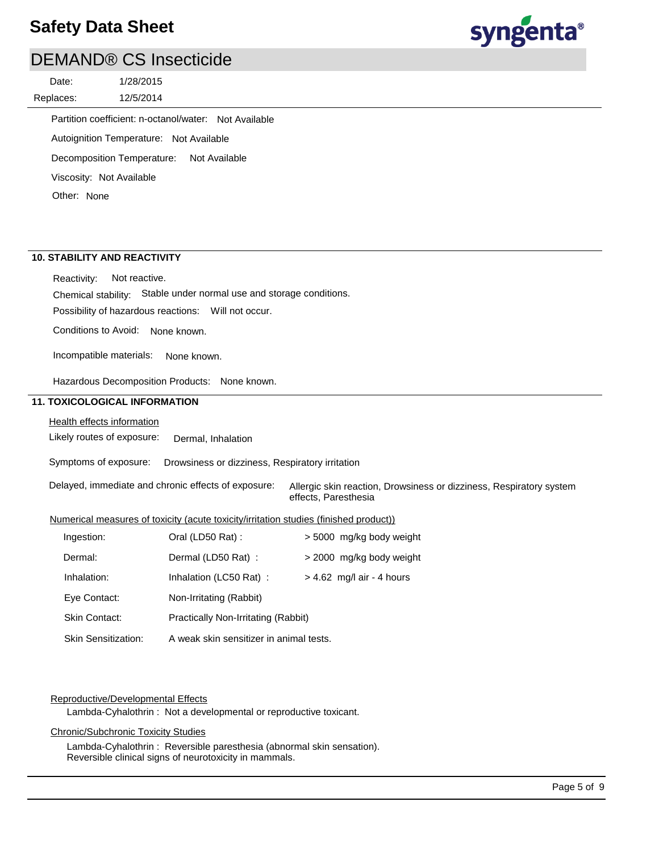## DEMAND® CS Insecticide

12/5/2014 1/28/2015 Replaces: Date:



Partition coefficient: n-octanol/water: Not Available

Autoignition Temperature: Not Available

Decomposition Temperature: Not Available

Viscosity: Not Available

Other: None

## **10. STABILITY AND REACTIVITY**

Chemical stability: Stable under normal use and storage conditions. Reactivity: Not reactive.

Possibility of hazardous reactions: Will not occur.

Conditions to Avoid: None known.

Incompatible materials: None known.

Hazardous Decomposition Products: None known.

### **11. TOXICOLOGICAL INFORMATION**

### Health effects information

Likely routes of exposure: Dermal, Inhalation

Symptoms of exposure: Drowsiness or dizziness, Respiratory irritation

Delayed, immediate and chronic effects of exposure: Allergic skin reaction, Drowsiness or dizziness, Respiratory system effects, Paresthesia

#### Numerical measures of toxicity (acute toxicity/irritation studies (finished product))

| Ingestion:                 | Oral (LD50 Rat):                        | > 5000 mg/kg body weight    |  |
|----------------------------|-----------------------------------------|-----------------------------|--|
| Dermal:                    | Dermal (LD50 Rat) :                     | > 2000 mg/kg body weight    |  |
| Inhalation:                | Inhalation (LC50 Rat):                  | $> 4.62$ mg/l air - 4 hours |  |
| Eye Contact:               | Non-Irritating (Rabbit)                 |                             |  |
| <b>Skin Contact:</b>       | Practically Non-Irritating (Rabbit)     |                             |  |
| <b>Skin Sensitization:</b> | A weak skin sensitizer in animal tests. |                             |  |

#### Reproductive/Developmental Effects

Lambda-Cyhalothrin : Not a developmental or reproductive toxicant.

### Chronic/Subchronic Toxicity Studies

Lambda-Cyhalothrin : Reversible paresthesia (abnormal skin sensation). Reversible clinical signs of neurotoxicity in mammals.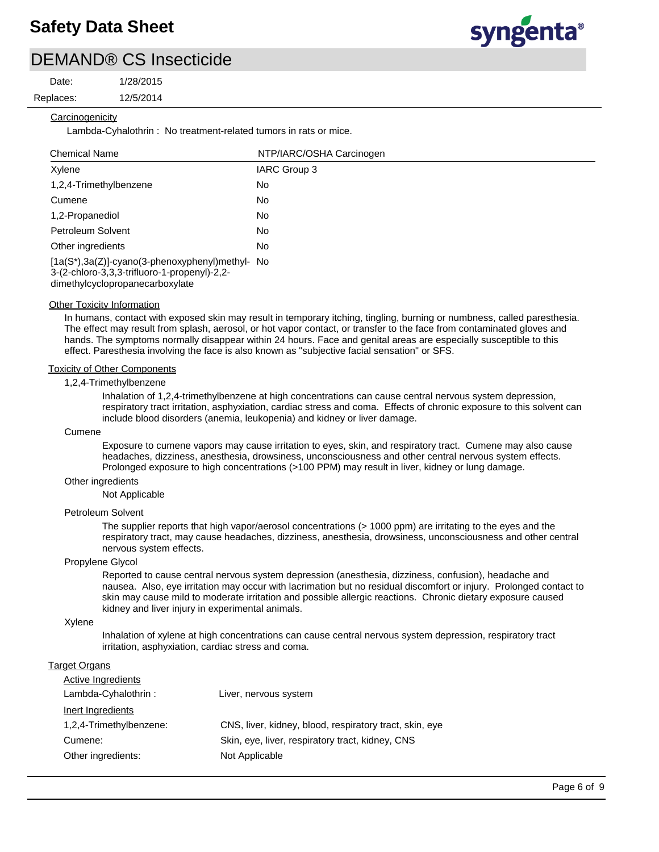Date:

12/5/2014 1/28/2015

Replaces:

### **Carcinogenicity**

Lambda-Cyhalothrin : No treatment-related tumors in rats or mice.

| <b>Chemical Name</b>                                                                                                               | NTP/IARC/OSHA Carcinogen |  |
|------------------------------------------------------------------------------------------------------------------------------------|--------------------------|--|
| Xylene                                                                                                                             | IARC Group 3             |  |
| 1,2,4-Trimethylbenzene                                                                                                             | No.                      |  |
| Cumene                                                                                                                             | No                       |  |
| 1,2-Propanediol                                                                                                                    | No                       |  |
| Petroleum Solvent                                                                                                                  | No                       |  |
| Other ingredients                                                                                                                  | No                       |  |
| [1a(S*),3a(Z)]-cyano(3-phenoxyphenyl)methyl- No<br>3-(2-chloro-3,3,3-trifluoro-1-propenyl)-2,2-<br>dimethylcyclopropanecarboxylate |                          |  |

#### **Other Toxicity Information**

In humans, contact with exposed skin may result in temporary itching, tingling, burning or numbness, called paresthesia. The effect may result from splash, aerosol, or hot vapor contact, or transfer to the face from contaminated gloves and hands. The symptoms normally disappear within 24 hours. Face and genital areas are especially susceptible to this effect. Paresthesia involving the face is also known as "subjective facial sensation" or SFS.

### Toxicity of Other Components

#### 1,2,4-Trimethylbenzene

Inhalation of 1,2,4-trimethylbenzene at high concentrations can cause central nervous system depression, respiratory tract irritation, asphyxiation, cardiac stress and coma. Effects of chronic exposure to this solvent can include blood disorders (anemia, leukopenia) and kidney or liver damage.

#### Cumene

Exposure to cumene vapors may cause irritation to eyes, skin, and respiratory tract. Cumene may also cause headaches, dizziness, anesthesia, drowsiness, unconsciousness and other central nervous system effects. Prolonged exposure to high concentrations (>100 PPM) may result in liver, kidney or lung damage.

#### Other ingredients

Not Applicable

#### Petroleum Solvent

The supplier reports that high vapor/aerosol concentrations (> 1000 ppm) are irritating to the eyes and the respiratory tract, may cause headaches, dizziness, anesthesia, drowsiness, unconsciousness and other central nervous system effects.

#### Propylene Glycol

Reported to cause central nervous system depression (anesthesia, dizziness, confusion), headache and nausea. Also, eye irritation may occur with lacrimation but no residual discomfort or injury. Prolonged contact to skin may cause mild to moderate irritation and possible allergic reactions. Chronic dietary exposure caused kidney and liver injury in experimental animals.

#### Xylene

Inhalation of xylene at high concentrations can cause central nervous system depression, respiratory tract irritation, asphyxiation, cardiac stress and coma.

#### **Target Organs**

| <b>Active Ingredients</b> |                                                         |
|---------------------------|---------------------------------------------------------|
| Lambda-Cyhalothrin:       | Liver, nervous system                                   |
| Inert Ingredients         |                                                         |
| 1,2,4-Trimethylbenzene:   | CNS, liver, kidney, blood, respiratory tract, skin, eye |
| Cumene:                   | Skin, eye, liver, respiratory tract, kidney, CNS        |
| Other ingredients:        | Not Applicable                                          |

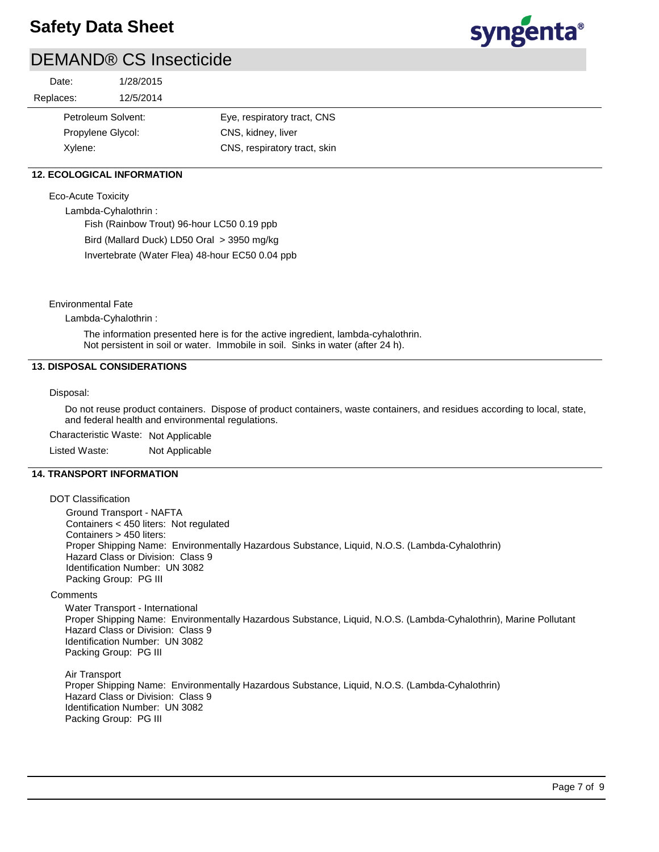

## DEMAND® CS Insecticide

| 1/28/2015 |                                         |
|-----------|-----------------------------------------|
| 12/5/2014 |                                         |
|           | Eye, respiratory tract, CNS             |
|           | CNS, kidney, liver                      |
|           | CNS, respiratory tract, skin            |
|           | Petroleum Solvent:<br>Propylene Glycol: |

## **12. ECOLOGICAL INFORMATION**

#### Eco-Acute Toxicity

Lambda-Cyhalothrin :

Fish (Rainbow Trout) 96-hour LC50 0.19 ppb Bird (Mallard Duck) LD50 Oral > 3950 mg/kg Invertebrate (Water Flea) 48-hour EC50 0.04 ppb

Environmental Fate

Lambda-Cyhalothrin :

The information presented here is for the active ingredient, lambda-cyhalothrin. Not persistent in soil or water. Immobile in soil. Sinks in water (after 24 h).

### **13. DISPOSAL CONSIDERATIONS**

#### Disposal:

Do not reuse product containers. Dispose of product containers, waste containers, and residues according to local, state, and federal health and environmental regulations.

Characteristic Waste: Not Applicable

Listed Waste: Not Applicable

#### **14. TRANSPORT INFORMATION**

#### DOT Classification

Ground Transport - NAFTA Containers < 450 liters: Not regulated Containers > 450 liters: Proper Shipping Name: Environmentally Hazardous Substance, Liquid, N.O.S. (Lambda-Cyhalothrin) Hazard Class or Division: Class 9 Identification Number: UN 3082 Packing Group: PG III

#### **Comments**

Water Transport - International Proper Shipping Name: Environmentally Hazardous Substance, Liquid, N.O.S. (Lambda-Cyhalothrin), Marine Pollutant Hazard Class or Division: Class 9 Identification Number: UN 3082 Packing Group: PG III

Air Transport

Proper Shipping Name: Environmentally Hazardous Substance, Liquid, N.O.S. (Lambda-Cyhalothrin) Hazard Class or Division: Class 9 Identification Number: UN 3082 Packing Group: PG III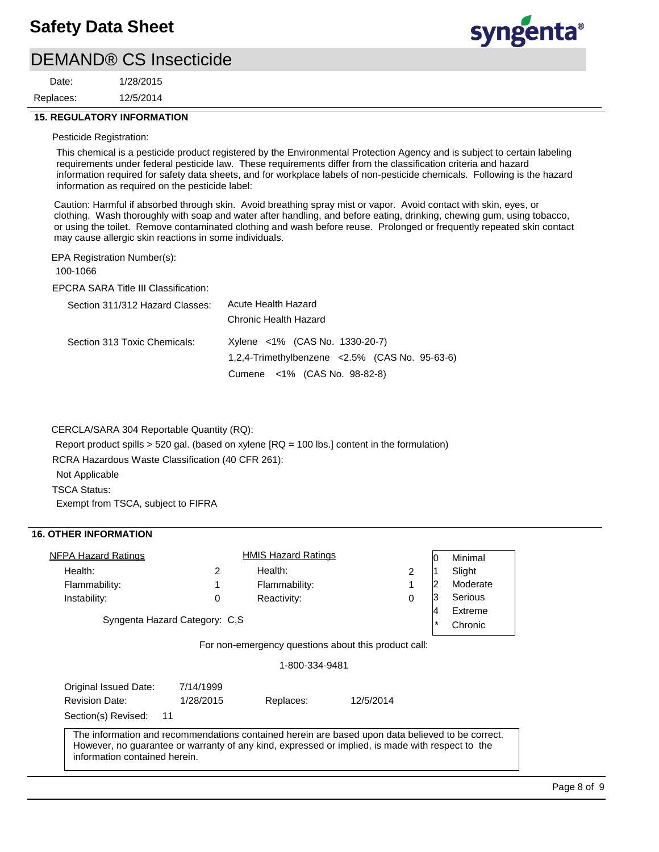12/5/2014 1/28/2015 Replaces: Date:



### **15. REGULATORY INFORMATION**

#### Pesticide Registration:

This chemical is a pesticide product registered by the Environmental Protection Agency and is subject to certain labeling requirements under federal pesticide law. These requirements differ from the classification criteria and hazard information required for safety data sheets, and for workplace labels of non-pesticide chemicals. Following is the hazard information as required on the pesticide label:

Caution: Harmful if absorbed through skin. Avoid breathing spray mist or vapor. Avoid contact with skin, eyes, or clothing. Wash thoroughly with soap and water after handling, and before eating, drinking, chewing gum, using tobacco, or using the toilet. Remove contaminated clothing and wash before reuse. Prolonged or frequently repeated skin contact may cause allergic skin reactions in some individuals.

EPA Registration Number(s):

100-1066

EPCRA SARA Title III Classification:

| Section 311/312 Hazard Classes: | Acute Health Hazard                                |
|---------------------------------|----------------------------------------------------|
|                                 | Chronic Health Hazard                              |
| Section 313 Toxic Chemicals:    | Xylene <1% (CAS No. 1330-20-7)                     |
|                                 | 1,2,4-Trimethylbenzene < $2.5\%$ (CAS No. 95-63-6) |
|                                 | Cumene <1% (CAS No. 98-82-8)                       |

CERCLA/SARA 304 Reportable Quantity (RQ):

Report product spills > 520 gal. (based on xylene [RQ = 100 lbs.] content in the formulation)

RCRA Hazardous Waste Classification (40 CFR 261):

Not Applicable

TSCA Status:

Exempt from TSCA, subject to FIFRA

## **16. OTHER INFORMATION**

| <b>NFPA Hazard Ratings</b>                                                                       |           | <b>HMIS Hazard Ratings</b> |           | 10      | Minimal  |
|--------------------------------------------------------------------------------------------------|-----------|----------------------------|-----------|---------|----------|
| Health:                                                                                          | 2         | Health:                    | 2         |         | Slight   |
| Flammability:                                                                                    | 1         | Flammability:              | 1         | 2       | Moderate |
| Instability:                                                                                     | 0         | Reactivity:                | 0         | 3       | Serious  |
|                                                                                                  |           |                            |           | 4       | Extreme  |
| Syngenta Hazard Category: C,S                                                                    |           |                            |           | $\star$ | Chronic  |
|                                                                                                  |           | 1-800-334-9481             |           |         |          |
|                                                                                                  |           |                            |           |         |          |
| Original Issued Date:                                                                            | 7/14/1999 |                            |           |         |          |
| <b>Revision Date:</b>                                                                            | 1/28/2015 | Replaces:                  | 12/5/2014 |         |          |
| Section(s) Revised:<br>11                                                                        |           |                            |           |         |          |
| The information and recommendations contained herein are based upon data believed to be correct. |           |                            |           |         |          |
| However, no guarantee or warranty of any kind, expressed or implied, is made with respect to the |           |                            |           |         |          |
| information contained herein.                                                                    |           |                            |           |         |          |